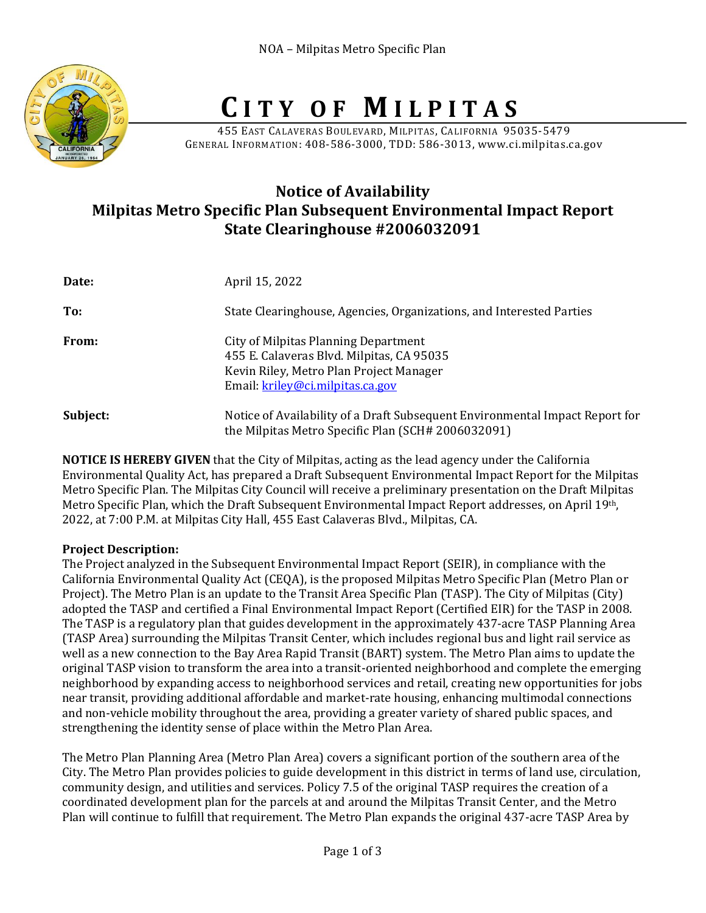

# **C I T Y O F M I L P I T A S**

455 EAST CALAVERAS BOULEVARD, MILPITAS, CALIFORNIA 95035-5479 GENERAL INFORMATION: 408-586-3000, TDD: 586-3013, www.ci.milpitas.ca.gov

# **Notice of Availability Milpitas Metro Specific Plan Subsequent Environmental Impact Report State Clearinghouse #2006032091**

| Date:    | April 15, 2022                                                                                                                                                   |
|----------|------------------------------------------------------------------------------------------------------------------------------------------------------------------|
| To:      | State Clearinghouse, Agencies, Organizations, and Interested Parties                                                                                             |
| From:    | City of Milpitas Planning Department<br>455 E. Calaveras Blvd. Milpitas, CA 95035<br>Kevin Riley, Metro Plan Project Manager<br>Email: kriley@ci.milpitas.ca.gov |
| Subject: | Notice of Availability of a Draft Subsequent Environmental Impact Report for<br>the Milpitas Metro Specific Plan (SCH# 2006032091)                               |

**NOTICE IS HEREBY GIVEN** that the City of Milpitas, acting as the lead agency under the California Environmental Quality Act, has prepared a Draft Subsequent Environmental Impact Report for the Milpitas Metro Specific Plan. The Milpitas City Council will receive a preliminary presentation on the Draft Milpitas Metro Specific Plan, which the Draft Subsequent Environmental Impact Report addresses, on April 19th, 2022, at 7:00 P.M. at Milpitas City Hall, 455 East Calaveras Blvd., Milpitas, CA.

## **Project Description:**

The Project analyzed in the Subsequent Environmental Impact Report (SEIR), in compliance with the California Environmental Quality Act (CEQA), is the proposed Milpitas Metro Specific Plan (Metro Plan or Project). The Metro Plan is an update to the Transit Area Specific Plan (TASP). The City of Milpitas (City) adopted the TASP and certified a Final Environmental Impact Report (Certified EIR) for the TASP in 2008. The TASP is a regulatory plan that guides development in the approximately 437-acre TASP Planning Area (TASP Area) surrounding the Milpitas Transit Center, which includes regional bus and light rail service as well as a new connection to the Bay Area Rapid Transit (BART) system. The Metro Plan aims to update the original TASP vision to transform the area into a transit-oriented neighborhood and complete the emerging neighborhood by expanding access to neighborhood services and retail, creating new opportunities for jobs near transit, providing additional affordable and market-rate housing, enhancing multimodal connections and non-vehicle mobility throughout the area, providing a greater variety of shared public spaces, and strengthening the identity sense of place within the Metro Plan Area.

The Metro Plan Planning Area (Metro Plan Area) covers a significant portion of the southern area of the City. The Metro Plan provides policies to guide development in this district in terms of land use, circulation, community design, and utilities and services. Policy 7.5 of the original TASP requires the creation of a coordinated development plan for the parcels at and around the Milpitas Transit Center, and the Metro Plan will continue to fulfill that requirement. The Metro Plan expands the original 437-acre TASP Area by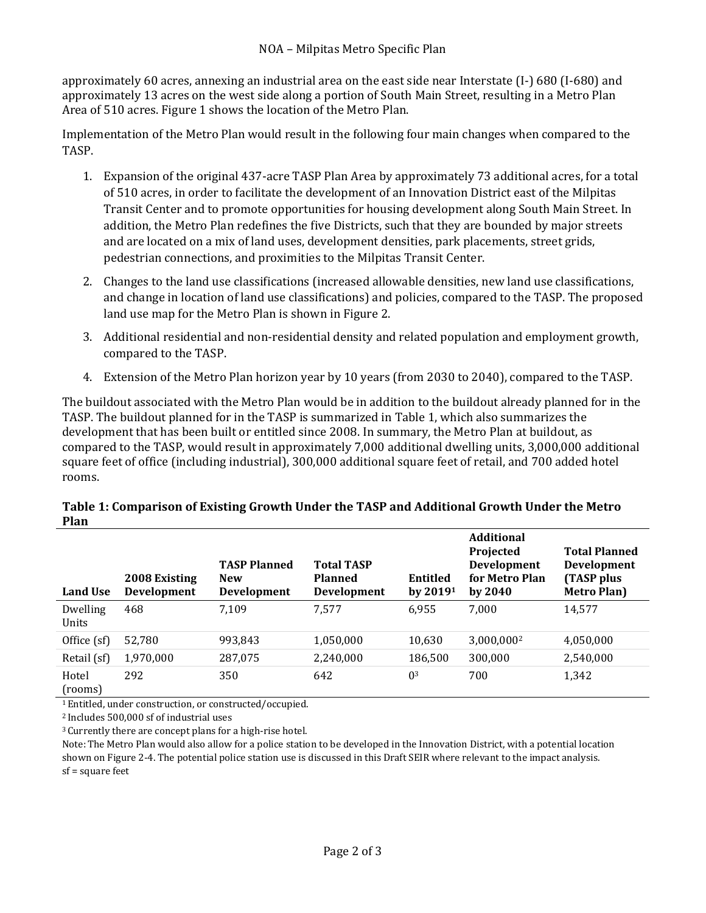approximately 60 acres, annexing an industrial area on the east side near Interstate (I-) 680 (I-680) and approximately 13 acres on the west side along a portion of South Main Street, resulting in a Metro Plan Area of 510 acres. Figure 1 shows the location of the Metro Plan.

Implementation of the Metro Plan would result in the following four main changes when compared to the TASP.

- 1. Expansion of the original 437-acre TASP Plan Area by approximately 73 additional acres, for a total of 510 acres, in order to facilitate the development of an Innovation District east of the Milpitas Transit Center and to promote opportunities for housing development along South Main Street. In addition, the Metro Plan redefines the five Districts, such that they are bounded by major streets and are located on a mix of land uses, development densities, park placements, street grids, pedestrian connections, and proximities to the Milpitas Transit Center.
- 2. Changes to the land use classifications (increased allowable densities, new land use classifications, and change in location of land use classifications) and policies, compared to the TASP. The proposed land use map for the Metro Plan is shown in Figure 2.
- 3. Additional residential and non-residential density and related population and employment growth, compared to the TASP.
- 4. Extension of the Metro Plan horizon year by 10 years (from 2030 to 2040), compared to the TASP.

The buildout associated with the Metro Plan would be in addition to the buildout already planned for in the TASP. The buildout planned for in the TASP is summarized in Table 1, which also summarizes the development that has been built or entitled since 2008. In summary, the Metro Plan at buildout, as compared to the TASP, would result in approximately 7,000 additional dwelling units, 3,000,000 additional square feet of office (including industrial), 300,000 additional square feet of retail, and 700 added hotel rooms.

#### **Table 1: Comparison of Existing Growth Under the TASP and Additional Growth Under the Metro Plan**

| <b>Land Use</b>          | 2008 Existing<br><b>Development</b> | <b>TASP Planned</b><br><b>New</b><br><b>Development</b> | <b>Total TASP</b><br><b>Planned</b><br><b>Development</b> | <b>Entitled</b><br>by $20191$ | <b>Additional</b><br>Projected<br><b>Development</b><br>for Metro Plan<br>by $2040$ | <b>Total Planned</b><br>Development<br>(TASP plus<br><b>Metro Plan)</b> |
|--------------------------|-------------------------------------|---------------------------------------------------------|-----------------------------------------------------------|-------------------------------|-------------------------------------------------------------------------------------|-------------------------------------------------------------------------|
| Dwelling<br><b>Units</b> | 468                                 | 7.109                                                   | 7,577                                                     | 6,955                         | 7,000                                                                               | 14,577                                                                  |
| Office (sf)              | 52,780                              | 993,843                                                 | 1,050,000                                                 | 10,630                        | 3,000,000 <sup>2</sup>                                                              | 4,050,000                                                               |
| Retail (sf)              | 1,970,000                           | 287,075                                                 | 2,240,000                                                 | 186,500                       | 300,000                                                                             | 2,540,000                                                               |
| Hotel<br>(rooms)         | 292                                 | 350                                                     | 642                                                       | 0 <sup>3</sup>                | 700                                                                                 | 1,342                                                                   |

<sup>1</sup> Entitled, under construction, or constructed/occupied.

<sup>2</sup> Includes 500,000 sf of industrial uses

<sup>3</sup> Currently there are concept plans for a high-rise hotel.

Note: The Metro Plan would also allow for a police station to be developed in the Innovation District, with a potential location shown on Figure 2-4. The potential police station use is discussed in this Draft SEIR where relevant to the impact analysis. sf = square feet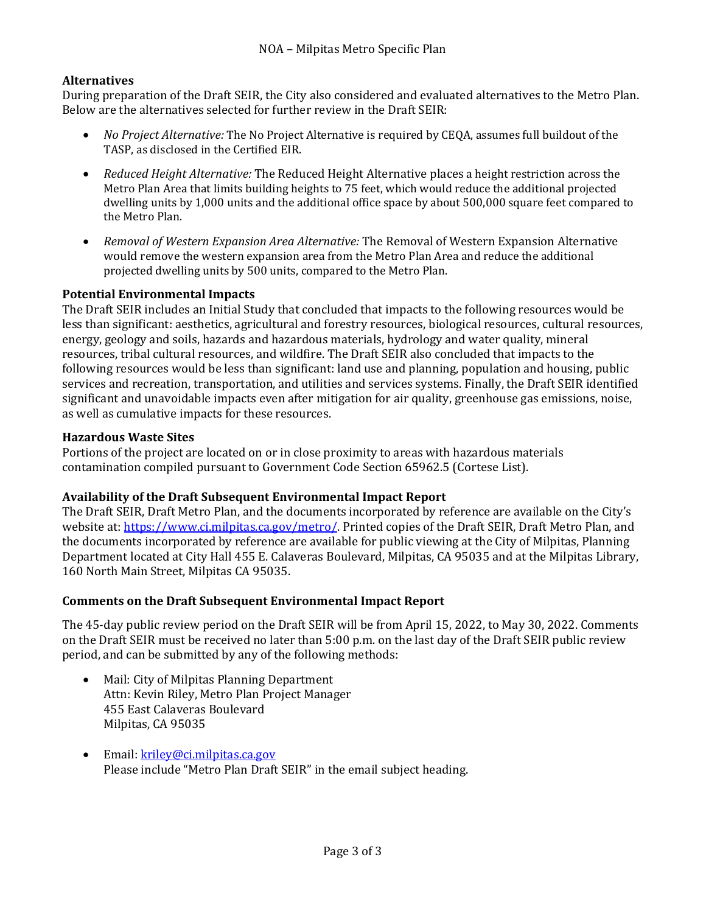# **Alternatives**

During preparation of the Draft SEIR, the City also considered and evaluated alternatives to the Metro Plan. Below are the alternatives selected for further review in the Draft SEIR:

- *No Project Alternative:* The No Project Alternative is required by CEQA, assumes full buildout of the TASP, as disclosed in the Certified EIR.
- *Reduced Height Alternative:* The Reduced Height Alternative places a height restriction across the Metro Plan Area that limits building heights to 75 feet, which would reduce the additional projected dwelling units by 1,000 units and the additional office space by about 500,000 square feet compared to the Metro Plan.
- *Removal of Western Expansion Area Alternative:* The Removal of Western Expansion Alternative would remove the western expansion area from the Metro Plan Area and reduce the additional projected dwelling units by 500 units, compared to the Metro Plan.

## **Potential Environmental Impacts**

The Draft SEIR includes an Initial Study that concluded that impacts to the following resources would be less than significant: aesthetics, agricultural and forestry resources, biological resources, cultural resources, energy, geology and soils, hazards and hazardous materials, hydrology and water quality, mineral resources, tribal cultural resources, and wildfire. The Draft SEIR also concluded that impacts to the following resources would be less than significant: land use and planning, population and housing, public services and recreation, transportation, and utilities and services systems. Finally, the Draft SEIR identified significant and unavoidable impacts even after mitigation for air quality, greenhouse gas emissions, noise, as well as cumulative impacts for these resources.

#### **Hazardous Waste Sites**

Portions of the project are located on or in close proximity to areas with hazardous materials contamination compiled pursuant to Government Code Section 65962.5 (Cortese List).

## **Availability of the Draft Subsequent Environmental Impact Report**

The Draft SEIR, Draft Metro Plan, and the documents incorporated by reference are available on the City's website at[: https://www.ci.milpitas.ca.gov/metro/.](https://www.ci.milpitas.ca.gov/metro/) Printed copies of the Draft SEIR, Draft Metro Plan, and the documents incorporated by reference are available for public viewing at the City of Milpitas, Planning Department located at City Hall 455 E. Calaveras Boulevard, Milpitas, CA 95035 and at the Milpitas Library, 160 North Main Street, Milpitas CA 95035.

#### **Comments on the Draft Subsequent Environmental Impact Report**

The 45-day public review period on the Draft SEIR will be from April 15, 2022, to May 30, 2022. Comments on the Draft SEIR must be received no later than 5:00 p.m. on the last day of the Draft SEIR public review period, and can be submitted by any of the following methods:

- Mail: City of Milpitas Planning Department Attn: Kevin Riley, Metro Plan Project Manager 455 East Calaveras Boulevard Milpitas, CA 95035
- Email: [kriley@ci.milpitas.ca.gov](mailto:kriley@ci.milpitas.ca.gov) Please include "Metro Plan Draft SEIR" in the email subject heading.